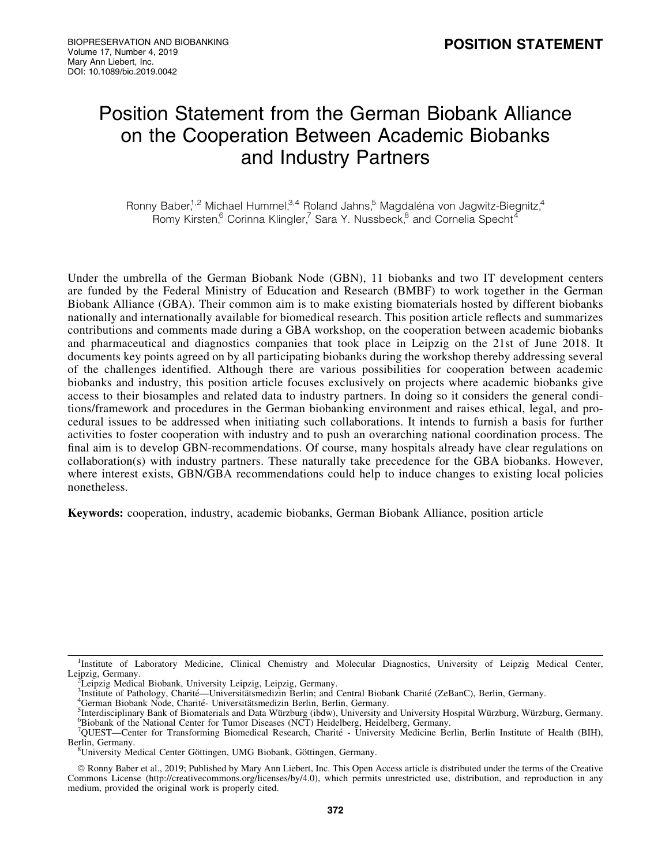# Position Statement from the German Biobank Alliance on the Cooperation Between Academic Biobanks and Industry Partners

Ronny Baber,<sup>1,2</sup> Michael Hummel,  $3,4$  Roland Jahns,<sup>5</sup> Magdaléna von Jagwitz-Biegnitz,<sup>4</sup> Romy Kirsten,<sup>6</sup> Corinna Klingler,<sup>7</sup> Sara Y. Nussbeck,<sup>8</sup> and Cornelia Specht<sup>4</sup>

Under the umbrella of the German Biobank Node (GBN), 11 biobanks and two IT development centers are funded by the Federal Ministry of Education and Research (BMBF) to work together in the German Biobank Alliance (GBA). Their common aim is to make existing biomaterials hosted by different biobanks nationally and internationally available for biomedical research. This position article reflects and summarizes contributions and comments made during a GBA workshop, on the cooperation between academic biobanks and pharmaceutical and diagnostics companies that took place in Leipzig on the 21st of June 2018. It documents key points agreed on by all participating biobanks during the workshop thereby addressing several of the challenges identified. Although there are various possibilities for cooperation between academic biobanks and industry, this position article focuses exclusively on projects where academic biobanks give access to their biosamples and related data to industry partners. In doing so it considers the general conditions/framework and procedures in the German biobanking environment and raises ethical, legal, and procedural issues to be addressed when initiating such collaborations. It intends to furnish a basis for further activities to foster cooperation with industry and to push an overarching national coordination process. The final aim is to develop GBN-recommendations. Of course, many hospitals already have clear regulations on collaboration(s) with industry partners. These naturally take precedence for the GBA biobanks. However, where interest exists, GBN/GBA recommendations could help to induce changes to existing local policies nonetheless.

Keywords: cooperation, industry, academic biobanks, German Biobank Alliance, position article

<sup>&</sup>lt;sup>1</sup>Institute of Laboratory Medicine, Clinical Chemistry and Molecular Diagnostics, University of Leipzig Medical Center, Leipzig, Germany.

<sup>&</sup>lt;sup>2</sup>Leipzig Medical Biobank, University Leipzig, Leipzig, Germany.<br><sup>3</sup>Institute of Pathology, Charité—Universitätsmedizin Berlin; and Central Biobank Charité (ZeBanC), Berlin, Germany.<br><sup>4</sup>German Biobank Node, Charité, Unive

<sup>&</sup>lt;sup>4</sup>German Biobank Node, Charité- Universitätsmedizin Berlin, Berlin, Germany.

<sup>&</sup>lt;sup>5</sup>Interdisciplinary Bank of Biomaterials and Data Würzburg (ibdw), University and University Hospital Würzburg, Würzburg, Germany. Biobank of the National Center for Tumor Diseases (NCT) Heidelberg, Heidelberg, Germany.

<sup>&</sup>lt;sup>7</sup>QUEST—Center for Transforming Biomedical Research, Charité - University Medicine Berlin, Berlin Institute of Health (BIH), Berlin, Germany.

<sup>&</sup>lt;sup>8</sup>University Medical Center Göttingen, UMG Biobank, Göttingen, Germany.

ª Ronny Baber et al., 2019; Published by Mary Ann Liebert, Inc. This Open Access article is distributed under the terms of the Creative Commons License [\(http://creativecommons.org/licenses/by/4.0](http://creativecommons.org/licenses/by/4.0)), which permits unrestricted use, distribution, and reproduction in any medium, provided the original work is properly cited.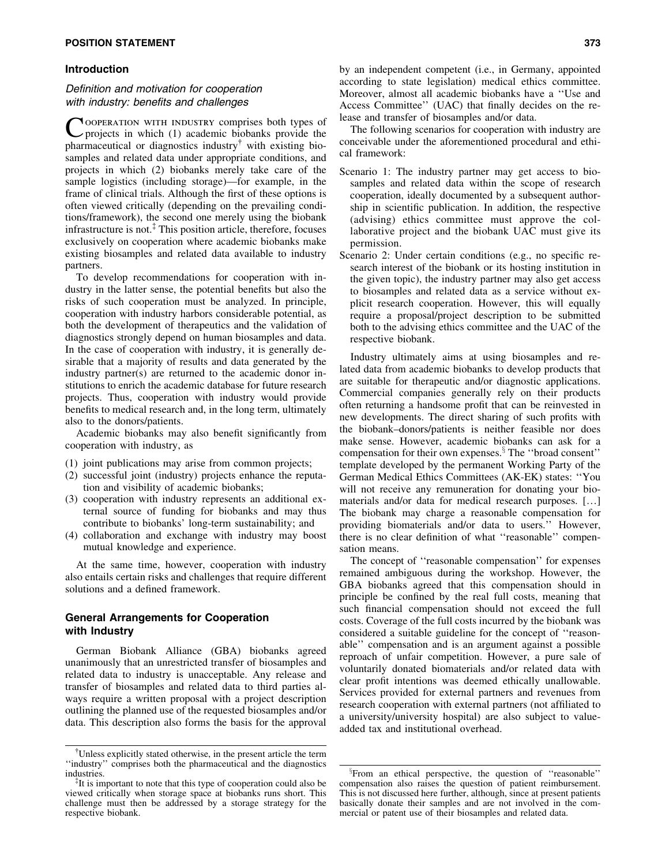## **POSITION STATEMENT** 373

## Introduction

# Definition and motivation for cooperation with industry: benefits and challenges

COOPERATION WITH INDUSTRY comprises both types of projects in which (1) academic biobanks provide the pharmaceutical or diagnostics industry $\phi$  with existing biosamples and related data under appropriate conditions, and projects in which (2) biobanks merely take care of the sample logistics (including storage)—for example, in the frame of clinical trials. Although the first of these options is often viewed critically (depending on the prevailing conditions/framework), the second one merely using the biobank infrastructure is not. $<sup>‡</sup>$  This position article, therefore, focuses</sup> exclusively on cooperation where academic biobanks make existing biosamples and related data available to industry partners.

To develop recommendations for cooperation with industry in the latter sense, the potential benefits but also the risks of such cooperation must be analyzed. In principle, cooperation with industry harbors considerable potential, as both the development of therapeutics and the validation of diagnostics strongly depend on human biosamples and data. In the case of cooperation with industry, it is generally desirable that a majority of results and data generated by the industry partner(s) are returned to the academic donor institutions to enrich the academic database for future research projects. Thus, cooperation with industry would provide benefits to medical research and, in the long term, ultimately also to the donors/patients.

Academic biobanks may also benefit significantly from cooperation with industry, as

- (1) joint publications may arise from common projects;
- (2) successful joint (industry) projects enhance the reputation and visibility of academic biobanks;
- (3) cooperation with industry represents an additional external source of funding for biobanks and may thus contribute to biobanks' long-term sustainability; and
- (4) collaboration and exchange with industry may boost mutual knowledge and experience.

At the same time, however, cooperation with industry also entails certain risks and challenges that require different solutions and a defined framework.

## General Arrangements for Cooperation with Industry

German Biobank Alliance (GBA) biobanks agreed unanimously that an unrestricted transfer of biosamples and related data to industry is unacceptable. Any release and transfer of biosamples and related data to third parties always require a written proposal with a project description outlining the planned use of the requested biosamples and/or data. This description also forms the basis for the approval by an independent competent (i.e., in Germany, appointed according to state legislation) medical ethics committee. Moreover, almost all academic biobanks have a ''Use and Access Committee'' (UAC) that finally decides on the release and transfer of biosamples and/or data.

The following scenarios for cooperation with industry are conceivable under the aforementioned procedural and ethical framework:

- Scenario 1: The industry partner may get access to biosamples and related data within the scope of research cooperation, ideally documented by a subsequent authorship in scientific publication. In addition, the respective (advising) ethics committee must approve the collaborative project and the biobank  $UAC$  must give its permission.
- Scenario 2: Under certain conditions (e.g., no specific research interest of the biobank or its hosting institution in the given topic), the industry partner may also get access to biosamples and related data as a service without explicit research cooperation. However, this will equally require a proposal/project description to be submitted both to the advising ethics committee and the UAC of the respective biobank.

Industry ultimately aims at using biosamples and related data from academic biobanks to develop products that are suitable for therapeutic and/or diagnostic applications. Commercial companies generally rely on their products often returning a handsome profit that can be reinvested in new developments. The direct sharing of such profits with the biobank–donors/patients is neither feasible nor does make sense. However, academic biobanks can ask for a compensation for their own expenses.<sup>§</sup> The "broad consent" template developed by the permanent Working Party of the German Medical Ethics Committees (AK-EK) states: ''You will not receive any remuneration for donating your biomaterials and/or data for medical research purposes. [...] The biobank may charge a reasonable compensation for providing biomaterials and/or data to users.'' However, there is no clear definition of what ''reasonable'' compensation means.

The concept of ''reasonable compensation'' for expenses remained ambiguous during the workshop. However, the GBA biobanks agreed that this compensation should in principle be confined by the real full costs, meaning that such financial compensation should not exceed the full costs. Coverage of the full costs incurred by the biobank was considered a suitable guideline for the concept of ''reasonable'' compensation and is an argument against a possible reproach of unfair competition. However, a pure sale of voluntarily donated biomaterials and/or related data with clear profit intentions was deemed ethically unallowable. Services provided for external partners and revenues from research cooperation with external partners (not affiliated to a university/university hospital) are also subject to valueadded tax and institutional overhead.

<sup>&</sup>lt;sup>†</sup>Unless explicitly stated otherwise, in the present article the term ''industry'' comprises both the pharmaceutical and the diagnostics industries.

Fit is important to note that this type of cooperation could also be viewed critically when storage space at biobanks runs short. This challenge must then be addressed by a storage strategy for the respective biobank.

<sup>&</sup>lt;sup>§</sup>From an ethical perspective, the question of "reasonable" compensation also raises the question of patient reimbursement. This is not discussed here further, although, since at present patients basically donate their samples and are not involved in the commercial or patent use of their biosamples and related data.